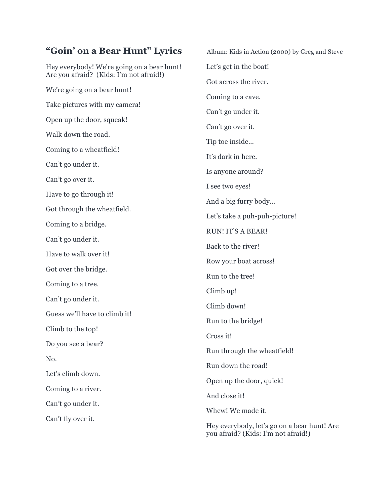## "Goin' on a Bear Hunt" Lyrics Album: Kids in Action (2000) by Greg and Steve

Hey everybody! We're going on a bear hunt! Are you afraid? (Kids: I'm not afraid!) We're going on a bear hunt! Take pictures with my camera! Open up the door, squeak! Walk down the road. Coming to a wheatfield! Can't go under it. Can't go over it. Have to go through it! Got through the wheatfield. Coming to a bridge. Can't go under it. Have to walk over it! Got over the bridge. Coming to a tree. Can't go under it. Guess we'll have to climb it! Climb to the top! Do you see a bear? No. Let's climb down. Coming to a river. Can't go under it. Can't fly over it.

Let's get in the boat! Got across the river. Coming to a cave. Can't go under it. Can't go over it. Tip toe inside… It's dark in here. Is anyone around? I see two eyes! And a big furry body… Let's take a puh-puh-picture! RUN! IT'S A BEAR! Back to the river! Row your boat across! Run to the tree! Climb up! Climb down! Run to the bridge! Cross it! Run through the wheatfield! Run down the road! Open up the door, quick! And close it! Whew! We made it. Hey everybody, let's go on a bear hunt! Are you afraid? (Kids: I'm not afraid!)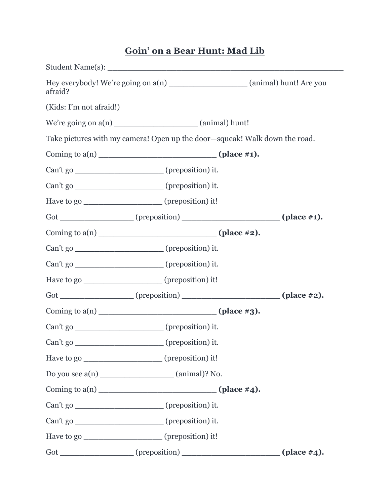## **Goin' on a Bear Hunt: Mad Lib**

| Hey everybody! We're going on a(n) ________________________ (animal) hunt! Are you<br>afraid? |                                                                            |                              |  |
|-----------------------------------------------------------------------------------------------|----------------------------------------------------------------------------|------------------------------|--|
| (Kids: I'm not afraid!)                                                                       |                                                                            |                              |  |
|                                                                                               |                                                                            |                              |  |
|                                                                                               | Take pictures with my camera! Open up the door-squeak! Walk down the road. |                              |  |
|                                                                                               |                                                                            |                              |  |
|                                                                                               | Can't go ___________________________(preposition) it.                      |                              |  |
|                                                                                               | Can't go ___________________________(preposition) it.                      |                              |  |
|                                                                                               | Have to go ____________________(preposition) it!                           |                              |  |
|                                                                                               |                                                                            |                              |  |
|                                                                                               | Coming to $a(n)$ (place #2).                                               |                              |  |
|                                                                                               | Can't go __________________________(preposition) it.                       |                              |  |
|                                                                                               | Can't go _______________________________(preposition) it.                  |                              |  |
|                                                                                               | Have to go ___________________(preposition) it!                            |                              |  |
|                                                                                               | Got ______________(preposition) ________________(place #2).                |                              |  |
|                                                                                               | Coming to $a(n)$ (place #3).                                               |                              |  |
|                                                                                               | Can't go ____________________________(preposition) it.                     |                              |  |
|                                                                                               | Can't go ________________________(preposition) it.                         |                              |  |
|                                                                                               | Have to go ___________________(preposition) it!                            |                              |  |
|                                                                                               |                                                                            |                              |  |
|                                                                                               |                                                                            | Coming to $a(n)$ (place #4). |  |
|                                                                                               | Can't go _________________________(preposition) it.                        |                              |  |
|                                                                                               | Can't go _________________________(preposition) it.                        |                              |  |
|                                                                                               | Have to go _______________________ (preposition) it!                       |                              |  |
|                                                                                               | Got _______________(preposition) __________________(place #4).             |                              |  |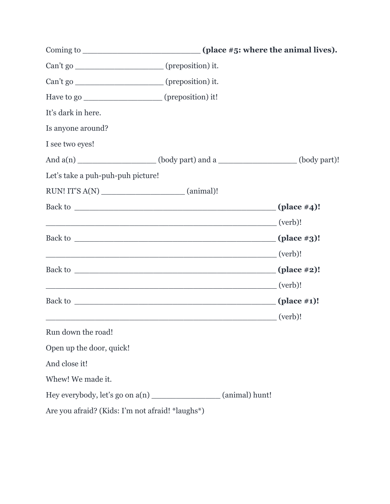| Can't go _________________________(preposition) it.   |                                                                         |  |  |
|-------------------------------------------------------|-------------------------------------------------------------------------|--|--|
| Can't go ___________________________(preposition) it. |                                                                         |  |  |
| Have to go ___________________(preposition) it!       |                                                                         |  |  |
| It's dark in here.                                    |                                                                         |  |  |
| Is anyone around?                                     |                                                                         |  |  |
| I see two eyes!                                       |                                                                         |  |  |
|                                                       | And a(n) _________________(body part) and a _______________(body part)! |  |  |
| Let's take a puh-puh-puh picture!                     |                                                                         |  |  |
|                                                       |                                                                         |  |  |
|                                                       |                                                                         |  |  |
|                                                       | <u>(verb)!</u> (verb)                                                   |  |  |
|                                                       |                                                                         |  |  |
|                                                       | $\overline{\phantom{a}}$ (verb)!                                        |  |  |
|                                                       |                                                                         |  |  |
|                                                       | $\overline{\phantom{a}}$ (verb)!                                        |  |  |
|                                                       |                                                                         |  |  |
|                                                       | (verb)!                                                                 |  |  |
| Run down the road!                                    |                                                                         |  |  |
| Open up the door, quick!                              |                                                                         |  |  |
| And close it!                                         |                                                                         |  |  |
| Whew! We made it.                                     |                                                                         |  |  |
| Hey everybody, let's go on a(n)                       | (animal) hunt!                                                          |  |  |
| Are you afraid? (Kids: I'm not afraid! *laughs*)      |                                                                         |  |  |